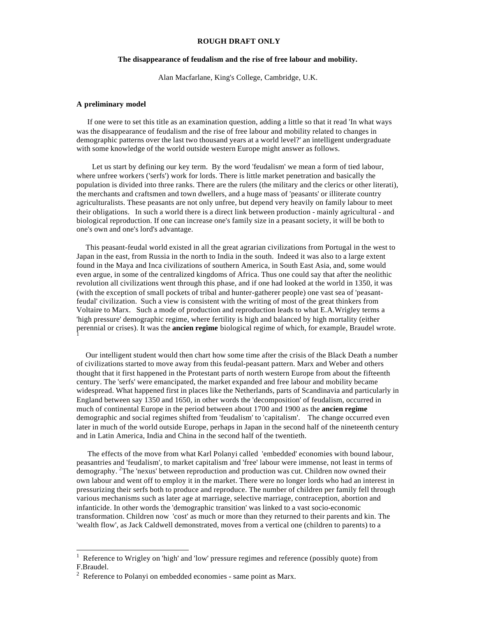## **ROUGH DRAFT ONLY**

# **The disappearance of feudalism and the rise of free labour and mobility.**

Alan Macfarlane, King's College, Cambridge, U.K.

#### **A preliminary model**

 If one were to set this title as an examination question, adding a little so that it read 'In what ways was the disappearance of feudalism and the rise of free labour and mobility related to changes in demographic patterns over the last two thousand years at a world level?' an intelligent undergraduate with some knowledge of the world outside western Europe might answer as follows.

 Let us start by defining our key term. By the word 'feudalism' we mean a form of tied labour, where unfree workers ('serfs') work for lords. There is little market penetration and basically the population is divided into three ranks. There are the rulers (the military and the clerics or other literati), the merchants and craftsmen and town dwellers, and a huge mass of 'peasants' or illiterate country agriculturalists. These peasants are not only unfree, but depend very heavily on family labour to meet their obligations. In such a world there is a direct link between production - mainly agricultural - and biological reproduction. If one can increase one's family size in a peasant society, it will be both to one's own and one's lord's advantage.

 This peasant-feudal world existed in all the great agrarian civilizations from Portugal in the west to Japan in the east, from Russia in the north to India in the south. Indeed it was also to a large extent found in the Maya and Inca civilizations of southern America, in South East Asia, and, some would even argue, in some of the centralized kingdoms of Africa. Thus one could say that after the neolithic revolution all civilizations went through this phase, and if one had looked at the world in 1350, it was (with the exception of small pockets of tribal and hunter-gatherer people) one vast sea of 'peasantfeudal' civilization. Such a view is consistent with the writing of most of the great thinkers from Voltaire to Marx. Such a mode of production and reproduction leads to what E.A.Wrigley terms a 'high pressure' demographic regime, where fertility is high and balanced by high mortality (either perennial or crises). It was the **ancien regime** biological regime of which, for example, Braudel wrote. 1

 Our intelligent student would then chart how some time after the crisis of the Black Death a number of civilizations started to move away from this feudal-peasant pattern. Marx and Weber and others thought that it first happened in the Protestant parts of north western Europe from about the fifteenth century. The 'serfs' were emancipated, the market expanded and free labour and mobility became widespread. What happened first in places like the Netherlands, parts of Scandinavia and particularly in England between say 1350 and 1650, in other words the 'decomposition' of feudalism, occurred in much of continental Europe in the period between about 1700 and 1900 as the **ancien regime** demographic and social regimes shifted from 'feudalism' to 'capitalism'. The change occurred even later in much of the world outside Europe, perhaps in Japan in the second half of the nineteenth century and in Latin America, India and China in the second half of the twentieth.

 The effects of the move from what Karl Polanyi called 'embedded' economies with bound labour, peasantries and 'feudalism', to market capitalism and 'free' labour were immense, not least in terms of demography. <sup>2</sup>The 'nexus' between reproduction and production was cut. Children now owned their own labour and went off to employ it in the market. There were no longer lords who had an interest in pressurizing their serfs both to produce and reproduce. The number of children per family fell through various mechanisms such as later age at marriage, selective marriage, contraception, abortion and infanticide. In other words the 'demographic transition' was linked to a vast socio-economic transformation. Children now 'cost' as much or more than they returned to their parents and kin. The 'wealth flow', as Jack Caldwell demonstrated, moves from a vertical one (children to parents) to a

<sup>1</sup> Reference to Wrigley on 'high' and 'low' pressure regimes and reference (possibly quote) from F.Braudel.

 $2^2$  Reference to Polanyi on embedded economies - same point as Marx.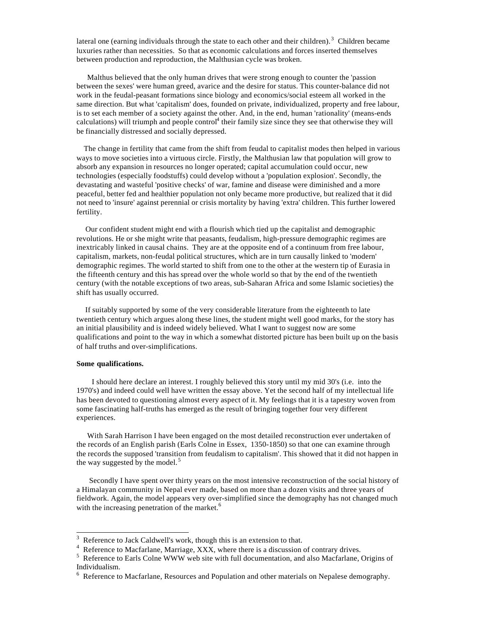lateral one (earning individuals through the state to each other and their children).<sup>3</sup> Children became luxuries rather than necessities. So that as economic calculations and forces inserted themselves between production and reproduction, the Malthusian cycle was broken.

 Malthus believed that the only human drives that were strong enough to counter the 'passion between the sexes' were human greed, avarice and the desire for status. This counter-balance did not work in the feudal-peasant formations since biology and economics/social esteem all worked in the same direction. But what 'capitalism' does, founded on private, individualized, property and free labour, is to set each member of a society against the other. And, in the end, human 'rationality' (means-ends calculations) will triumph and people control<sup>4</sup> their family size since they see that otherwise they will be financially distressed and socially depressed.

 The change in fertility that came from the shift from feudal to capitalist modes then helped in various ways to move societies into a virtuous circle. Firstly, the Malthusian law that population will grow to absorb any expansion in resources no longer operated; capital accumulation could occur, new technologies (especially foodstuffs) could develop without a 'population explosion'. Secondly, the devastating and wasteful 'positive checks' of war, famine and disease were diminished and a more peaceful, better fed and healthier population not only became more productive, but realized that it did not need to 'insure' against perennial or crisis mortality by having 'extra' children. This further lowered fertility.

 Our confident student might end with a flourish which tied up the capitalist and demographic revolutions. He or she might write that peasants, feudalism, high-pressure demographic regimes are inextricably linked in causal chains. They are at the opposite end of a continuum from free labour, capitalism, markets, non-feudal political structures, which are in turn causally linked to 'modern' demographic regimes. The world started to shift from one to the other at the western tip of Eurasia in the fifteenth century and this has spread over the whole world so that by the end of the twentieth century (with the notable exceptions of two areas, sub-Saharan Africa and some Islamic societies) the shift has usually occurred.

 If suitably supported by some of the very considerable literature from the eighteenth to late twentieth century which argues along these lines, the student might well good marks, for the story has an initial plausibility and is indeed widely believed. What I want to suggest now are some qualifications and point to the way in which a somewhat distorted picture has been built up on the basis of half truths and over-simplifications.

## **Some qualifications.**

I should here declare an interest. I roughly believed this story until my mid 30's (i.e. into the 1970's) and indeed could well have written the essay above. Yet the second half of my intellectual life has been devoted to questioning almost every aspect of it. My feelings that it is a tapestry woven from some fascinating half-truths has emerged as the result of bringing together four very different experiences.

 With Sarah Harrison I have been engaged on the most detailed reconstruction ever undertaken of the records of an English parish (Earls Colne in Essex, 1350-1850) so that one can examine through the records the supposed 'transition from feudalism to capitalism'. This showed that it did not happen in the way suggested by the model.<sup>5</sup>

 Secondly I have spent over thirty years on the most intensive reconstruction of the social history of a Himalayan community in Nepal ever made, based on more than a dozen visits and three years of fieldwork. Again, the model appears very over-simplified since the demography has not changed much with the increasing penetration of the market. $<sup>6</sup>$ </sup>

 3 Reference to Jack Caldwell's work, though this is an extension to that.

<sup>4</sup> Reference to Macfarlane, Marriage, XXX, where there is a discussion of contrary drives.

<sup>&</sup>lt;sup>5</sup> Reference to Earls Colne WWW web site with full documentation, and also Macfarlane, Origins of Individualism.

<sup>&</sup>lt;sup>6</sup> Reference to Macfarlane, Resources and Population and other materials on Nepalese demography.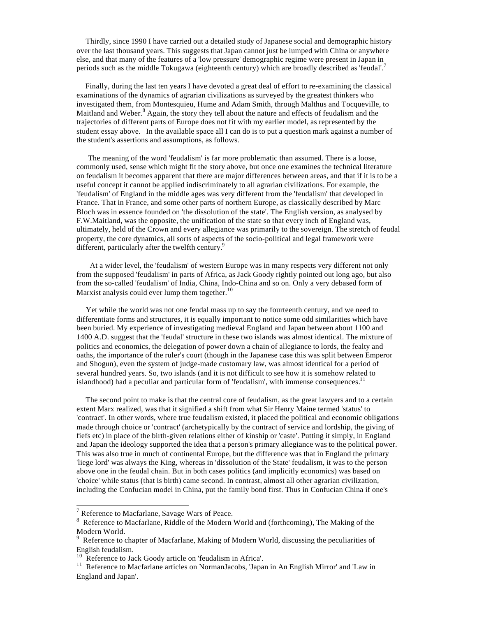Thirdly, since 1990 I have carried out a detailed study of Japanese social and demographic history over the last thousand years. This suggests that Japan cannot just be lumped with China or anywhere else, and that many of the features of a 'low pressure' demographic regime were present in Japan in periods such as the middle Tokugawa (eighteenth century) which are broadly described as 'feudal'.<sup>7</sup>

 Finally, during the last ten years I have devoted a great deal of effort to re-examining the classical examinations of the dynamics of agrarian civilizations as surveyed by the greatest thinkers who investigated them, from Montesquieu, Hume and Adam Smith, through Malthus and Tocqueville, to Maitland and Weber.<sup>8</sup> Again, the story they tell about the nature and effects of feudalism and the trajectories of different parts of Europe does not fit with my earlier model, as represented by the student essay above. In the available space all I can do is to put a question mark against a number of the student's assertions and assumptions, as follows.

 The meaning of the word 'feudalism' is far more problematic than assumed. There is a loose, commonly used, sense which might fit the story above, but once one examines the technical literature on feudalism it becomes apparent that there are major differences between areas, and that if it is to be a useful concept it cannot be applied indiscriminately to all agrarian civilizations. For example, the 'feudalism' of England in the middle ages was very different from the 'feudalism' that developed in France. That in France, and some other parts of northern Europe, as classically described by Marc Bloch was in essence founded on 'the dissolution of the state'. The English version, as analysed by F.W.Maitland, was the opposite, the unification of the state so that every inch of England was, ultimately, held of the Crown and every allegiance was primarily to the sovereign. The stretch of feudal property, the core dynamics, all sorts of aspects of the socio-political and legal framework were different, particularly after the twelfth century.<sup>9</sup>

 At a wider level, the 'feudalism' of western Europe was in many respects very different not only from the supposed 'feudalism' in parts of Africa, as Jack Goody rightly pointed out long ago, but also from the so-called 'feudalism' of India, China, Indo-China and so on. Only a very debased form of Marxist analysis could ever lump them together. $10$ 

 Yet while the world was not one feudal mass up to say the fourteenth century, and we need to differentiate forms and structures, it is equally important to notice some odd similarities which have been buried. My experience of investigating medieval England and Japan between about 1100 and 1400 A.D. suggest that the 'feudal' structure in these two islands was almost identical. The mixture of politics and economics, the delegation of power down a chain of allegiance to lords, the fealty and oaths, the importance of the ruler's court (though in the Japanese case this was split between Emperor and Shogun), even the system of judge-made customary law, was almost identical for a period of several hundred years. So, two islands (and it is not difficult to see how it is somehow related to islandhood) had a peculiar and particular form of 'feudalism', with immense consequences. $11$ 

 The second point to make is that the central core of feudalism, as the great lawyers and to a certain extent Marx realized, was that it signified a shift from what Sir Henry Maine termed 'status' to 'contract'. In other words, where true feudalism existed, it placed the political and economic obligations made through choice or 'contract' (archetypically by the contract of service and lordship, the giving of fiefs etc) in place of the birth-given relations either of kinship or 'caste'. Putting it simply, in England and Japan the ideology supported the idea that a person's primary allegiance was to the political power. This was also true in much of continental Europe, but the difference was that in England the primary 'liege lord' was always the King, whereas in 'dissolution of the State' feudalism, it was to the person above one in the feudal chain. But in both cases politics (and implicitly economics) was based on 'choice' while status (that is birth) came second. In contrast, almost all other agrarian civilization, including the Confucian model in China, put the family bond first. Thus in Confucian China if one's

<sup>&</sup>lt;sup>7</sup> Reference to Macfarlane, Savage Wars of Peace.

<sup>&</sup>lt;sup>8</sup> Reference to Macfarlane, Riddle of the Modern World and (forthcoming), The Making of the Modern World.

<sup>&</sup>lt;sup>9</sup> Reference to chapter of Macfarlane, Making of Modern World, discussing the peculiarities of English feudalism.

Reference to Jack Goody article on 'feudalism in Africa'.

<sup>&</sup>lt;sup>11</sup> Reference to Macfarlane articles on NormanJacobs, 'Japan in An English Mirror' and 'Law in England and Japan'.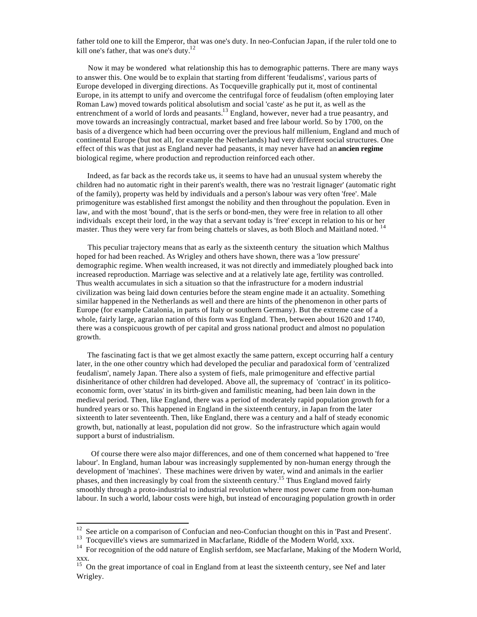father told one to kill the Emperor, that was one's duty. In neo-Confucian Japan, if the ruler told one to kill one's father, that was one's duty.<sup>12</sup>

 Now it may be wondered what relationship this has to demographic patterns. There are many ways to answer this. One would be to explain that starting from different 'feudalisms', various parts of Europe developed in diverging directions. As Tocqueville graphically put it, most of continental Europe, in its attempt to unify and overcome the centrifugal force of feudalism (often employing later Roman Law) moved towards political absolutism and social 'caste' as he put it, as well as the entrenchment of a world of lords and peasants.<sup>13</sup> England, however, never had a true peasantry, and move towards an increasingly contractual, market based and free labour world. So by 1700, on the basis of a divergence which had been occurring over the previous half millenium, England and much of continental Europe (but not all, for example the Netherlands) had very different social structures. One effect of this was that just as England never had peasants, it may never have had an **ancien regime** biological regime, where production and reproduction reinforced each other.

 Indeed, as far back as the records take us, it seems to have had an unusual system whereby the children had no automatic right in their parent's wealth, there was no 'restrait lignager' (automatic right of the family), property was held by individuals and a person's labour was very often 'free'. Male primogeniture was established first amongst the nobility and then throughout the population. Even in law, and with the most 'bound', that is the serfs or bond-men, they were free in relation to all other individuals except their lord, in the way that a servant today is 'free' except in relation to his or her master. Thus they were very far from being chattels or slaves, as both Bloch and Maitland noted.<sup>14</sup>

This peculiar trajectory means that as early as the sixteenth century the situation which Malthus hoped for had been reached. As Wrigley and others have shown, there was a 'low pressure' demographic regime. When wealth increased, it was not directly and immediately ploughed back into increased reproduction. Marriage was selective and at a relatively late age, fertility was controlled. Thus wealth accumulates in sich a situation so that the infrastructure for a modern industrial civilization was being laid down centuries before the steam engine made it an actuality. Something similar happened in the Netherlands as well and there are hints of the phenomenon in other parts of Europe (for example Catalonia, in parts of Italy or southern Germany). But the extreme case of a whole, fairly large, agrarian nation of this form was England. Then, between about 1620 and 1740, there was a conspicuous growth of per capital and gross national product and almost no population growth.

 The fascinating fact is that we get almost exactly the same pattern, except occurring half a century later, in the one other country which had developed the peculiar and paradoxical form of 'centralized feudalism', namely Japan. There also a system of fiefs, male primogeniture and effective partial disinheritance of other children had developed. Above all, the supremacy of 'contract' in its politicoeconomic form, over 'status' in its birth-given and familistic meaning, had been lain down in the medieval period. Then, like England, there was a period of moderately rapid population growth for a hundred years or so. This happened in England in the sixteenth century, in Japan from the later sixteenth to later seventeenth. Then, like England, there was a century and a half of steady economic growth, but, nationally at least, population did not grow. So the infrastructure which again would support a burst of industrialism.

 Of course there were also major differences, and one of them concerned what happened to 'free labour'. In England, human labour was increasingly supplemented by non-human energy through the development of 'machines'. These machines were driven by water, wind and animals in the earlier phases, and then increasingly by coal from the sixteenth century.<sup>15</sup> Thus England moved fairly smoothly through a proto-industrial to industrial revolution where most power came from non-human labour. In such a world, labour costs were high, but instead of encouraging population growth in order

 $12$  See article on a comparison of Confucian and neo-Confucian thought on this in 'Past and Present'.

<sup>&</sup>lt;sup>13</sup> Tocqueville's views are summarized in Macfarlane, Riddle of the Modern World, xxx.

<sup>&</sup>lt;sup>14</sup> For recognition of the odd nature of English serfdom, see Macfarlane, Making of the Modern World, xxx.

<sup>&</sup>lt;sup>15</sup> On the great importance of coal in England from at least the sixteenth century, see Nef and later Wrigley.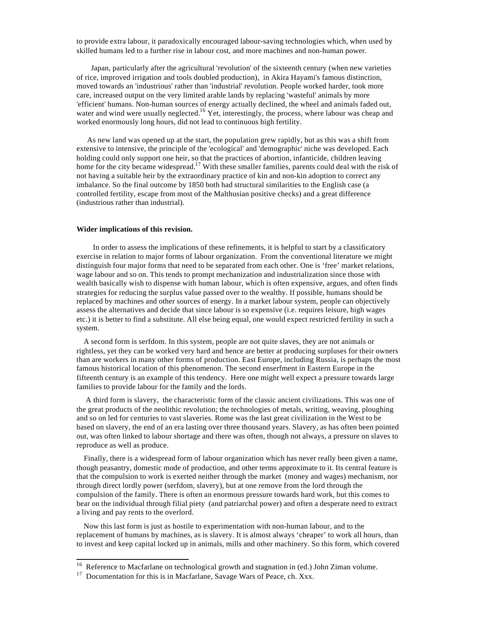to provide extra labour, it paradoxically encouraged labour-saving technologies which, when used by skilled humans led to a further rise in labour cost, and more machines and non-human power.

 Japan, particularly after the agricultural 'revolution' of the sixteenth century (when new varieties of rice, improved irrigation and tools doubled production), in Akira Hayami's famous distinction, moved towards an 'industrious' rather than 'industrial' revolution. People worked harder, took more care, increased output on the very limited arable lands by replacing 'wasteful' animals by more 'efficient' humans. Non-human sources of energy actually declined, the wheel and animals faded out, water and wind were usually neglected.<sup>16</sup> Yet, interestingly, the process, where labour was cheap and worked enormously long hours, did not lead to continuous high fertility.

 As new land was opened up at the start, the population grew rapidly, but as this was a shift from extensive to intensive, the principle of the 'ecological' and 'demographic' niche was developed. Each holding could only support one heir, so that the practices of abortion, infanticide, children leaving home for the city became widespread.<sup>17</sup> With these smaller families, parents could deal with the risk of not having a suitable heir by the extraordinary practice of kin and non-kin adoption to correct any imbalance. So the final outcome by 1850 both had structural similarities to the English case (a controlled fertility, escape from most of the Malthusian positive checks) and a great difference (industrious rather than industrial).

## **Wider implications of this revision.**

l

 In order to assess the implications of these refinements, it is helpful to start by a classificatory exercise in relation to major forms of labour organization. From the conventional literature we might distinguish four major forms that need to be separated from each other. One is 'free' market relations, wage labour and so on. This tends to prompt mechanization and industrialization since those with wealth basically wish to dispense with human labour, which is often expensive, argues, and often finds strategies for reducing the surplus value passed over to the wealthy. If possible, humans should be replaced by machines and other sources of energy. In a market labour system, people can objectively assess the alternatives and decide that since labour is so expensive (i.e. requires leisure, high wages etc.) it is better to find a substitute. All else being equal, one would expect restricted fertility in such a system.

 A second form is serfdom. In this system, people are not quite slaves, they are not animals or rightless, yet they can be worked very hard and hence are better at producing surpluses for their owners than are workers in many other forms of production. East Europe, including Russia, is perhaps the most famous historical location of this phenomenon. The second enserfment in Eastern Europe in the fifteenth century is an example of this tendency. Here one might well expect a pressure towards large families to provide labour for the family and the lords.

 A third form is slavery, the characteristic form of the classic ancient civilizations. This was one of the great products of the neolithic revolution; the technologies of metals, writing, weaving, ploughing and so on led for centuries to vast slaveries. Rome was the last great civilization in the West to be based on slavery, the end of an era lasting over three thousand years. Slavery, as has often been pointed out, was often linked to labour shortage and there was often, though not always, a pressure on slaves to reproduce as well as produce.

 Finally, there is a widespread form of labour organization which has never really been given a name, though peasantry, domestic mode of production, and other terms approximate to it. Its central feature is that the compulsion to work is exerted neither through the market (money and wages) mechanism, nor through direct lordly power (serfdom, slavery), but at one remove from the lord through the compulsion of the family. There is often an enormous pressure towards hard work, but this comes to bear on the individual through filial piety (and patriarchal power) and often a desperate need to extract a living and pay rents to the overlord.

 Now this last form is just as hostile to experimentation with non-human labour, and to the replacement of humans by machines, as is slavery. It is almost always 'cheaper' to work all hours, than to invest and keep capital locked up in animals, mills and other machinery. So this form, which covered

<sup>&</sup>lt;sup>16</sup> Reference to Macfarlane on technological growth and stagnation in (ed.) John Ziman volume.

<sup>&</sup>lt;sup>17</sup> Documentation for this is in Macfarlane, Savage Wars of Peace, ch. Xxx.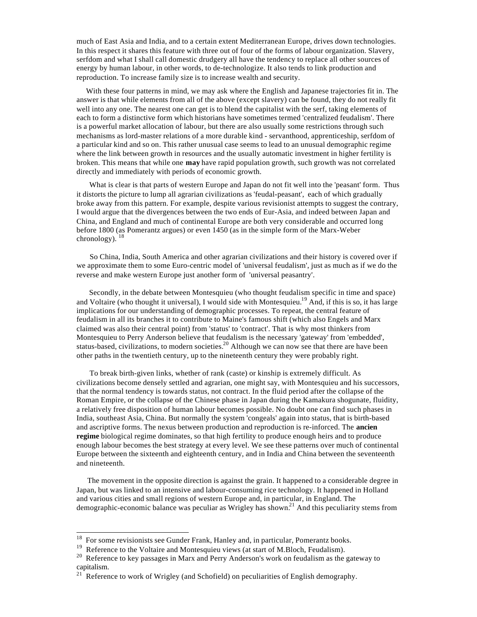much of East Asia and India, and to a certain extent Mediterranean Europe, drives down technologies. In this respect it shares this feature with three out of four of the forms of labour organization. Slavery, serfdom and what I shall call domestic drudgery all have the tendency to replace all other sources of energy by human labour, in other words, to de-technologize. It also tends to link production and reproduction. To increase family size is to increase wealth and security.

 With these four patterns in mind, we may ask where the English and Japanese trajectories fit in. The answer is that while elements from all of the above (except slavery) can be found, they do not really fit well into any one. The nearest one can get is to blend the capitalist with the serf, taking elements of each to form a distinctive form which historians have sometimes termed 'centralized feudalism'. There is a powerful market allocation of labour, but there are also usually some restrictions through such mechanisms as lord-master relations of a more durable kind - servanthood, apprenticeship, serfdom of a particular kind and so on. This rather unusual case seems to lead to an unusual demographic regime where the link between growth in resources and the usually automatic investment in higher fertility is broken. This means that while one **may** have rapid population growth, such growth was not correlated directly and immediately with periods of economic growth.

 What is clear is that parts of western Europe and Japan do not fit well into the 'peasant' form. Thus it distorts the picture to lump all agrarian civilizations as 'feudal-peasant', each of which gradually broke away from this pattern. For example, despite various revisionist attempts to suggest the contrary, I would argue that the divergences between the two ends of Eur-Asia, and indeed between Japan and China, and England and much of continental Europe are both very considerable and occurred long before 1800 (as Pomerantz argues) or even 1450 (as in the simple form of the Marx-Weber chronology).  $18$ 

 So China, India, South America and other agrarian civilizations and their history is covered over if we approximate them to some Euro-centric model of 'universal feudalism', just as much as if we do the reverse and make western Europe just another form of 'universal peasantry'.

 Secondly, in the debate between Montesquieu (who thought feudalism specific in time and space) and Voltaire (who thought it universal), I would side with Montesquieu.<sup>19</sup> And, if this is so, it has large implications for our understanding of demographic processes. To repeat, the central feature of feudalism in all its branches it to contribute to Maine's famous shift (which also Engels and Marx claimed was also their central point) from 'status' to 'contract'. That is why most thinkers from Montesquieu to Perry Anderson believe that feudalism is the necessary 'gateway' from 'embedded', status-based, civilizations, to modern societies.<sup>20</sup> Although we can now see that there are have been other paths in the twentieth century, up to the nineteenth century they were probably right.

 To break birth-given links, whether of rank (caste) or kinship is extremely difficult. As civilizations become densely settled and agrarian, one might say, with Montesquieu and his successors, that the normal tendency is towards status, not contract. In the fluid period after the collapse of the Roman Empire, or the collapse of the Chinese phase in Japan during the Kamakura shogunate, fluidity, a relatively free disposition of human labour becomes possible. No doubt one can find such phases in India, southeast Asia, China. But normally the system 'congeals' again into status, that is birth-based and ascriptive forms. The nexus between production and reproduction is re-inforced. The **ancien regime** biological regime dominates, so that high fertility to produce enough heirs and to produce enough labour becomes the best strategy at every level. We see these patterns over much of continental Europe between the sixteenth and eighteenth century, and in India and China between the seventeenth and nineteenth.

 The movement in the opposite direction is against the grain. It happened to a considerable degree in Japan, but was linked to an intensive and labour-consuming rice technology. It happened in Holland and various cities and small regions of western Europe and, in particular, in England. The demographic-economic balance was peculiar as Wrigley has shown.<sup>21</sup> And this peculiarity stems from

 $18$  For some revisionists see Gunder Frank, Hanley and, in particular, Pomerantz books.

<sup>&</sup>lt;sup>19</sup> Reference to the Voltaire and Montesquieu views (at start of M.Bloch, Feudalism).

<sup>&</sup>lt;sup>20</sup> Reference to key passages in Marx and Perry Anderson's work on feudalism as the gateway to capitalism.

 $21^{21}$  Reference to work of Wrigley (and Schofield) on peculiarities of English demography.